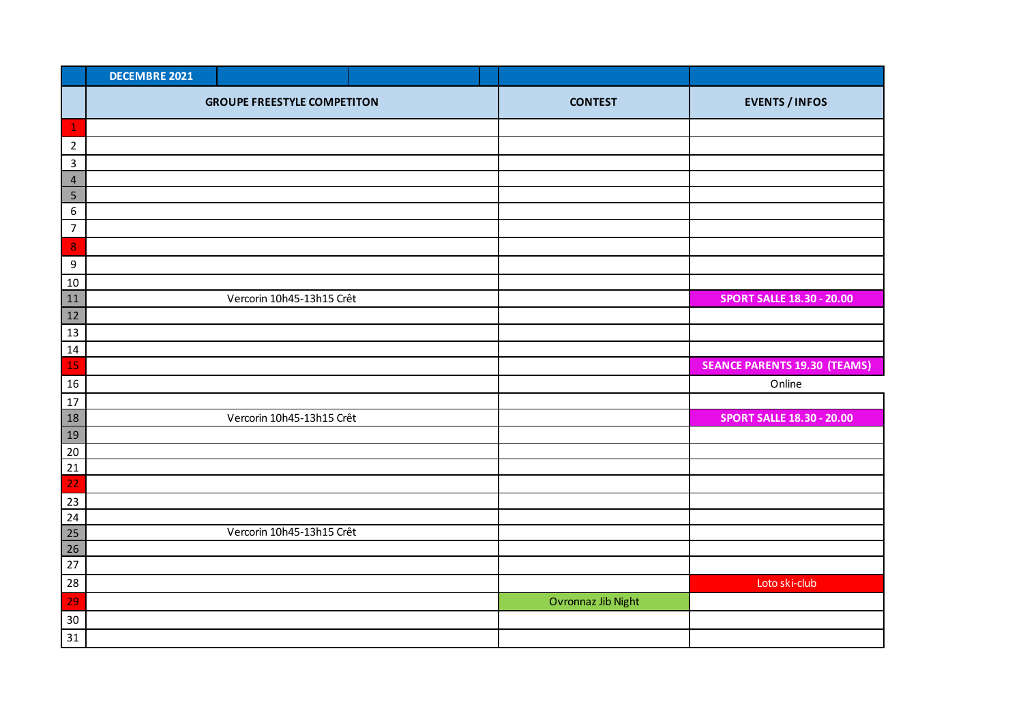|                  | <b>DECEMBRE 2021</b> |                                    |  |                    |                                     |
|------------------|----------------------|------------------------------------|--|--------------------|-------------------------------------|
|                  |                      | <b>GROUPE FREESTYLE COMPETITON</b> |  | <b>CONTEST</b>     | <b>EVENTS / INFOS</b>               |
| $\mathbf 1$      |                      |                                    |  |                    |                                     |
| $\overline{2}$   |                      |                                    |  |                    |                                     |
| $\mathbf{3}$     |                      |                                    |  |                    |                                     |
| $\overline{4}$   |                      |                                    |  |                    |                                     |
| 5                |                      |                                    |  |                    |                                     |
| $\boldsymbol{6}$ |                      |                                    |  |                    |                                     |
| $\overline{7}$   |                      |                                    |  |                    |                                     |
| $\bf{8}$         |                      |                                    |  |                    |                                     |
| 9                |                      |                                    |  |                    |                                     |
| 10               |                      |                                    |  |                    |                                     |
| 11               |                      | Vercorin 10h45-13h15 Crêt          |  |                    | <b>SPORT SALLE 18.30 - 20.00</b>    |
| 12               |                      |                                    |  |                    |                                     |
| 13               |                      |                                    |  |                    |                                     |
| 14               |                      |                                    |  |                    |                                     |
| 15               |                      |                                    |  |                    | <b>SEANCE PARENTS 19.30 (TEAMS)</b> |
| 16               |                      |                                    |  |                    | Online                              |
| $17\,$           |                      |                                    |  |                    |                                     |
| 18               |                      | Vercorin 10h45-13h15 Crêt          |  |                    | <b>SPORT SALLE 18.30 - 20.00</b>    |
| 19               |                      |                                    |  |                    |                                     |
| 20               |                      |                                    |  |                    |                                     |
| 21               |                      |                                    |  |                    |                                     |
| 22               |                      |                                    |  |                    |                                     |
| 23               |                      |                                    |  |                    |                                     |
| 24               |                      |                                    |  |                    |                                     |
| 25               |                      | Vercorin 10h45-13h15 Crêt          |  |                    |                                     |
| 26               |                      |                                    |  |                    |                                     |
| 27               |                      |                                    |  |                    |                                     |
| 28               |                      |                                    |  |                    | Loto ski-club                       |
| 29               |                      |                                    |  | Ovronnaz Jib Night |                                     |
| 30               |                      |                                    |  |                    |                                     |
| 31               |                      |                                    |  |                    |                                     |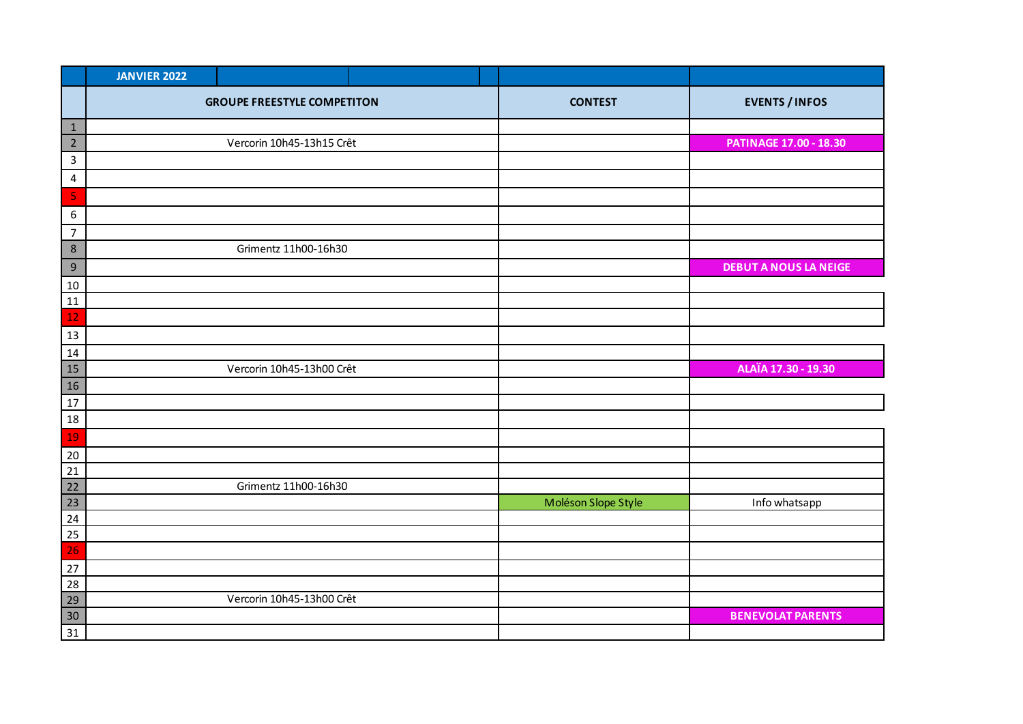|                                    | <b>JANVIER 2022</b> |                                    |  |                     |                               |
|------------------------------------|---------------------|------------------------------------|--|---------------------|-------------------------------|
|                                    |                     | <b>GROUPE FREESTYLE COMPETITON</b> |  | <b>CONTEST</b>      | <b>EVENTS / INFOS</b>         |
| $\mathbf{1}$                       |                     |                                    |  |                     |                               |
| $\overline{2}$                     |                     | Vercorin 10h45-13h15 Crêt          |  |                     | <b>PATINAGE 17.00 - 18.30</b> |
| $\mathsf{3}$                       |                     |                                    |  |                     |                               |
| $\overline{4}$                     |                     |                                    |  |                     |                               |
| 5                                  |                     |                                    |  |                     |                               |
| 6                                  |                     |                                    |  |                     |                               |
| $\overline{7}$                     |                     |                                    |  |                     |                               |
| $\,$ 8 $\,$                        |                     | Grimentz 11h00-16h30               |  |                     |                               |
| $\,9$                              |                     |                                    |  |                     | <b>DEBUT A NOUS LA NEIGE</b>  |
| 10                                 |                     |                                    |  |                     |                               |
| 11                                 |                     |                                    |  |                     |                               |
| 12                                 |                     |                                    |  |                     |                               |
| $13\,$                             |                     |                                    |  |                     |                               |
| 14                                 |                     |                                    |  |                     |                               |
| 15                                 |                     | Vercorin 10h45-13h00 Crêt          |  |                     | ALAÏA 17.30 - 19.30           |
| 16                                 |                     |                                    |  |                     |                               |
| 17                                 |                     |                                    |  |                     |                               |
| 18                                 |                     |                                    |  |                     |                               |
| 19                                 |                     |                                    |  |                     |                               |
| 20                                 |                     |                                    |  |                     |                               |
| 21                                 |                     |                                    |  |                     |                               |
| 22                                 |                     | Grimentz 11h00-16h30               |  |                     |                               |
| 23                                 |                     |                                    |  | Moléson Slope Style | Info whatsapp                 |
| $\overline{24}$<br>$\overline{25}$ |                     |                                    |  |                     |                               |
| 26                                 |                     |                                    |  |                     |                               |
| 27                                 |                     |                                    |  |                     |                               |
| 28                                 |                     |                                    |  |                     |                               |
| 29                                 |                     | Vercorin 10h45-13h00 Crêt          |  |                     |                               |
| 30                                 |                     |                                    |  |                     | <b>BENEVOLAT PARENTS</b>      |
| 31                                 |                     |                                    |  |                     |                               |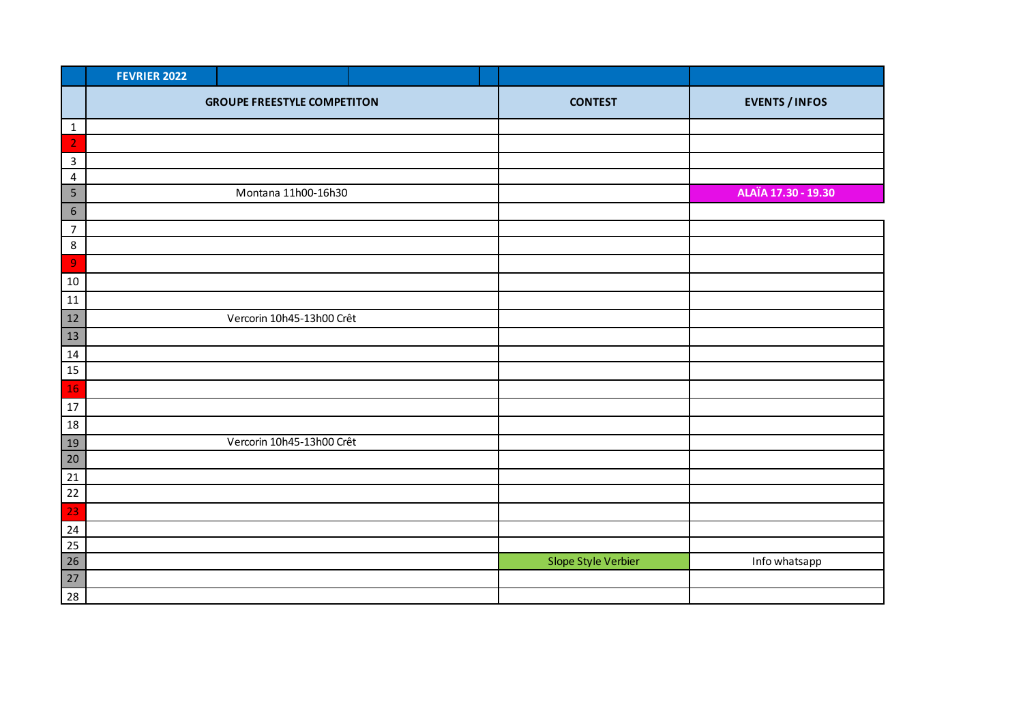|                  | <b>FEVRIER 2022</b>                |                           |                |                       |                     |
|------------------|------------------------------------|---------------------------|----------------|-----------------------|---------------------|
|                  | <b>GROUPE FREESTYLE COMPETITON</b> |                           | <b>CONTEST</b> | <b>EVENTS / INFOS</b> |                     |
| $\mathbf{1}$     |                                    |                           |                |                       |                     |
| $\overline{2}$   |                                    |                           |                |                       |                     |
| $\mathbf{3}$     |                                    |                           |                |                       |                     |
| 4                |                                    |                           |                |                       |                     |
| $\overline{5}$   |                                    | Montana 11h00-16h30       |                |                       | ALAÏA 17.30 - 19.30 |
| $\boldsymbol{6}$ |                                    |                           |                |                       |                     |
| $\overline{7}$   |                                    |                           |                |                       |                     |
| $\bf 8$          |                                    |                           |                |                       |                     |
| $\mathbf 9$      |                                    |                           |                |                       |                     |
| 10               |                                    |                           |                |                       |                     |
| $11\,$           |                                    |                           |                |                       |                     |
| 12               |                                    | Vercorin 10h45-13h00 Crêt |                |                       |                     |
| 13               |                                    |                           |                |                       |                     |
| 14               |                                    |                           |                |                       |                     |
| 15               |                                    |                           |                |                       |                     |
| <b>16</b>        |                                    |                           |                |                       |                     |
| $17\,$           |                                    |                           |                |                       |                     |
| 18               |                                    |                           |                |                       |                     |
| <u>19</u>        |                                    | Vercorin 10h45-13h00 Crêt |                |                       |                     |
| 20               |                                    |                           |                |                       |                     |
| 21               |                                    |                           |                |                       |                     |
| $22$             |                                    |                           |                |                       |                     |
| 23               |                                    |                           |                |                       |                     |
| 24               |                                    |                           |                |                       |                     |
| 25               |                                    |                           |                |                       |                     |
| 26               |                                    |                           |                | Slope Style Verbier   | Info whatsapp       |
| $27$             |                                    |                           |                |                       |                     |
| 28               |                                    |                           |                |                       |                     |